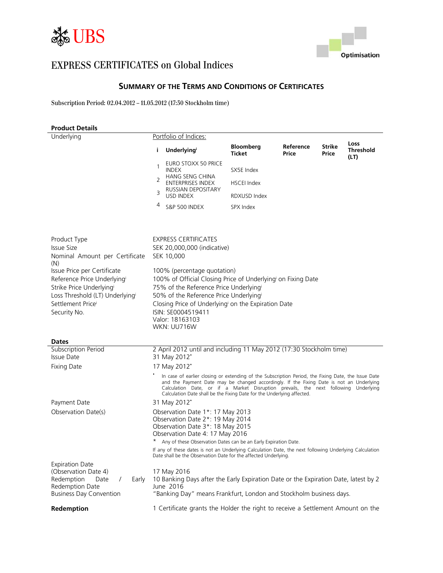



# EXPRESS CERTIFICATES on Global Indices

### **SUMMARY OF THE TERMS AND CONDITIONS OF CERTIFICATES**

Subscription Period: 02.04.2012 – 11.05.2012 (17:30 Stockholm time)

| <b>Product Details</b>                                                                                                                         |                                                                                                       |                                                                                                                                                                                                                                                                                                                                                                  |                                   |                    |                        |                                  |
|------------------------------------------------------------------------------------------------------------------------------------------------|-------------------------------------------------------------------------------------------------------|------------------------------------------------------------------------------------------------------------------------------------------------------------------------------------------------------------------------------------------------------------------------------------------------------------------------------------------------------------------|-----------------------------------|--------------------|------------------------|----------------------------------|
| Underlying                                                                                                                                     |                                                                                                       | Portfolio of Indices:                                                                                                                                                                                                                                                                                                                                            |                                   |                    |                        |                                  |
|                                                                                                                                                | i.                                                                                                    | Underlyingi                                                                                                                                                                                                                                                                                                                                                      | <b>Bloomberg</b><br><b>Ticket</b> | Reference<br>Price | <b>Strike</b><br>Price | Loss<br><b>Threshold</b><br>(LT) |
|                                                                                                                                                | 1                                                                                                     | EURO STOXX 50 PRICE<br><b>INDEX</b>                                                                                                                                                                                                                                                                                                                              | SX5E Index                        |                    |                        |                                  |
|                                                                                                                                                | 2                                                                                                     | HANG SENG CHINA<br><b>ENTERPRISES INDEX</b><br>RUSSIAN DEPOSITARY                                                                                                                                                                                                                                                                                                | <b>HSCEI</b> Index                |                    |                        |                                  |
|                                                                                                                                                | 3                                                                                                     | <b>USD INDEX</b>                                                                                                                                                                                                                                                                                                                                                 | RDXUSD Index                      |                    |                        |                                  |
|                                                                                                                                                | 4                                                                                                     | S&P 500 INDEX                                                                                                                                                                                                                                                                                                                                                    | SPX Index                         |                    |                        |                                  |
| Product Type                                                                                                                                   |                                                                                                       | <b>EXPRESS CERTIFICATES</b>                                                                                                                                                                                                                                                                                                                                      |                                   |                    |                        |                                  |
| <b>Issue Size</b>                                                                                                                              |                                                                                                       | SEK 20,000,000 (indicative)                                                                                                                                                                                                                                                                                                                                      |                                   |                    |                        |                                  |
| Nominal Amount per Certificate<br>(N)                                                                                                          |                                                                                                       | SEK 10,000                                                                                                                                                                                                                                                                                                                                                       |                                   |                    |                        |                                  |
| Issue Price per Certificate                                                                                                                    | 100% (percentage quotation)                                                                           |                                                                                                                                                                                                                                                                                                                                                                  |                                   |                    |                        |                                  |
| Reference Price Underlyingi<br>Strike Price Underlyingi                                                                                        | 100% of Official Closing Price of Underlying on Fixing Date<br>75% of the Reference Price Underlyingi |                                                                                                                                                                                                                                                                                                                                                                  |                                   |                    |                        |                                  |
| Loss Threshold (LT) Underlyingi<br>50% of the Reference Price Underlyingi                                                                      |                                                                                                       |                                                                                                                                                                                                                                                                                                                                                                  |                                   |                    |                        |                                  |
| Settlement Price                                                                                                                               | Closing Price of Underlying on the Expiration Date                                                    |                                                                                                                                                                                                                                                                                                                                                                  |                                   |                    |                        |                                  |
| ISIN: SE0004519411<br>Security No.                                                                                                             |                                                                                                       |                                                                                                                                                                                                                                                                                                                                                                  |                                   |                    |                        |                                  |
|                                                                                                                                                |                                                                                                       | Valor: 18163103<br>WKN: UU716W                                                                                                                                                                                                                                                                                                                                   |                                   |                    |                        |                                  |
| <b>Dates</b>                                                                                                                                   |                                                                                                       |                                                                                                                                                                                                                                                                                                                                                                  |                                   |                    |                        |                                  |
| Subscription Period<br>Issue Date                                                                                                              |                                                                                                       | 2 April 2012 until and including 11 May 2012 (17:30 Stockholm time)<br>31 May 2012'                                                                                                                                                                                                                                                                              |                                   |                    |                        |                                  |
| <b>Fixing Date</b>                                                                                                                             |                                                                                                       | 17 May 2012'                                                                                                                                                                                                                                                                                                                                                     |                                   |                    |                        |                                  |
|                                                                                                                                                |                                                                                                       | In case of earlier closing or extending of the Subscription Period, the Fixing Date, the Issue Date<br>and the Payment Date may be changed accordingly. If the Fixing Date is not an Underlying<br>Calculation Date, or if a Market Disruption prevails, the next following Underlying<br>Calculation Date shall be the Fixing Date for the Underlying affected. |                                   |                    |                        |                                  |
| Payment Date                                                                                                                                   |                                                                                                       | 31 May 2012'                                                                                                                                                                                                                                                                                                                                                     |                                   |                    |                        |                                  |
| Observation Date(s)                                                                                                                            |                                                                                                       | Observation Date 1*: 17 May 2013<br>Observation Date 2*: 19 May 2014<br>Observation Date 3*: 18 May 2015<br>Observation Date 4: 17 May 2016<br>Any of these Observation Dates can be an Early Expiration Date.                                                                                                                                                   |                                   |                    |                        |                                  |
|                                                                                                                                                |                                                                                                       | If any of these dates is not an Underlying Calculation Date, the next following Underlying Calculation<br>Date shall be the Observation Date for the affected Underlying.                                                                                                                                                                                        |                                   |                    |                        |                                  |
| <b>Expiration Date</b><br>(Observation Date 4)<br>Redemption<br>Early<br>Date<br>$\prime$<br>Redemption Date<br><b>Business Day Convention</b> |                                                                                                       | 17 May 2016<br>10 Banking Days after the Early Expiration Date or the Expiration Date, latest by 2<br>June 2016<br>"Banking Day" means Frankfurt, London and Stockholm business days.                                                                                                                                                                            |                                   |                    |                        |                                  |
| Redemption                                                                                                                                     |                                                                                                       | 1 Certificate grants the Holder the right to receive a Settlement Amount on the                                                                                                                                                                                                                                                                                  |                                   |                    |                        |                                  |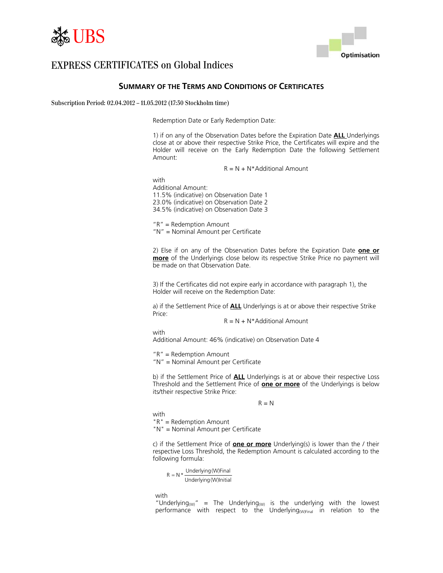



### **SUMMARY OF THE TERMS AND CONDITIONS OF CERTIFICATES**

Subscription Period: 02.04.2012 – 11.05.2012 (17:30 Stockholm time)

Redemption Date or Early Redemption Date:

1) if on any of the Observation Dates before the Expiration Date **ALL** Underlyings close at or above their respective Strike Price, the Certificates will expire and the Holder will receive on the Early Redemption Date the following Settlement Amount:

 $R = N + N^*$ Additional Amount

with Additional Amount: 11.5% (indicative) on Observation Date 1 23.0% (indicative) on Observation Date 2 34.5% (indicative) on Observation Date 3

"R" = Redemption Amount "N" = Nominal Amount per Certificate

2) Else if on any of the Observation Dates before the Expiration Date **one or more** of the Underlyings close below its respective Strike Price no payment will be made on that Observation Date.

3) If the Certificates did not expire early in accordance with paragraph 1), the Holder will receive on the Redemption Date:

a) if the Settlement Price of **ALL** Underlyings is at or above their respective Strike Price:

 $R = N + N^*$ Additional Amount

with Additional Amount: 46% (indicative) on Observation Date 4

"R" = Redemption Amount

"N" = Nominal Amount per Certificate

b) if the Settlement Price of **ALL** Underlyings is at or above their respective Loss Threshold and the Settlement Price of **one or more** of the Underlyings is below its/their respective Strike Price:

 $R = N$ 

with "R" = Redemption Amount

"N" = Nominal Amount per Certificate

c) if the Settlement Price of **one or more** Underlying(s) is lower than the / their respective Loss Threshold, the Redemption Amount is calculated according to the following formula:

Underlying(W)Initial  $R = N * \frac{Underlying(W)}{P}$ 

with

"Underlying<sub>(W)</sub>" = The Underlying<sub>(W)</sub> is the underlying with the lowest performance with respect to the Underlying<sub>(W)Final</sub> in relation to the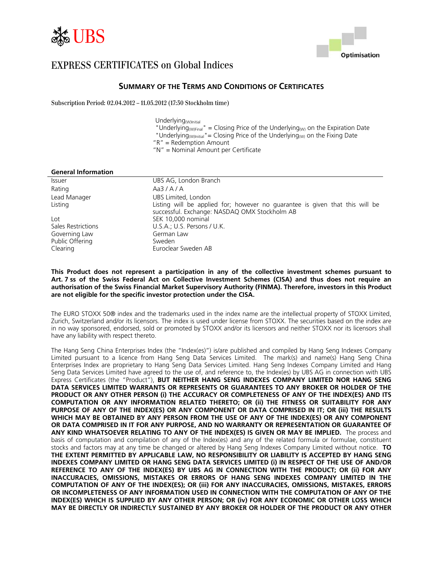



### **SUMMARY OF THE TERMS AND CONDITIONS OF CERTIFICATES**

Subscription Period: 02.04.2012 – 11.05.2012 (17:30 Stockholm time)

Underlying(W)Initial

"Underlying (W)Final" = Closing Price of the Underlying (W) on the Expiration Date

"Underlying  $W_{\text{Initial}}$ "= Closing Price of the Underlying  $W_{\text{WM}}$  on the Fixing Date

"R" = Redemption Amount

"N" = Nominal Amount per Certificate

| <b>General Information</b> |                                                                                                                               |
|----------------------------|-------------------------------------------------------------------------------------------------------------------------------|
| <i>Issuer</i>              | UBS AG, London Branch                                                                                                         |
| Rating                     | Aa3/A/A                                                                                                                       |
| Lead Manager               | UBS Limited, London                                                                                                           |
| Listing                    | Listing will be applied for; however no guarantee is given that this will be<br>successful. Exchange: NASDAQ OMX Stockholm AB |
| $_{\text{Lot}}$            | SEK 10,000 nominal                                                                                                            |
| Sales Restrictions         | U.S.A.; U.S. Persons / U.K.                                                                                                   |
| Governing Law              | German Law                                                                                                                    |
| Public Offering            | Sweden                                                                                                                        |
| Clearing                   | Euroclear Sweden AB                                                                                                           |

#### **This Product does not represent a participation in any of the collective investment schemes pursuant to Art. 7 ss of the Swiss Federal Act on Collective Investment Schemes (CISA) and thus does not require an authorisation of the Swiss Financial Market Supervisory Authority (FINMA). Therefore, investors in this Product are not eligible for the specific investor protection under the CISA.**

The EURO STOXX 50® index and the trademarks used in the index name are the intellectual property of STOXX Limited, Zurich, Switzerland and/or its licensors. The index is used under license from STOXX. The securities based on the index are in no way sponsored, endorsed, sold or promoted by STOXX and/or its licensors and neither STOXX nor its licensors shall have any liability with respect thereto.

The Hang Seng China Enterprises Index (the "Index(es)") is/are published and compiled by Hang Seng Indexes Company Limited pursuant to a licence from Hang Seng Data Services Limited. The mark(s) and name(s) Hang Seng China Enterprises Index are proprietary to Hang Seng Data Services Limited. Hang Seng Indexes Company Limited and Hang Seng Data Services Limited have agreed to the use of, and reference to, the Index(es) by UBS AG in connection with UBS Express Certificates (the "Product"), **BUT NEITHER HANG SENG INDEXES COMPANY LIMITED NOR HANG SENG DATA SERVICES LIMITED WARRANTS OR REPRESENTS OR GUARANTEES TO ANY BROKER OR HOLDER OF THE PRODUCT OR ANY OTHER PERSON (i) THE ACCURACY OR COMPLETENESS OF ANY OF THE INDEX(ES) AND ITS COMPUTATION OR ANY INFORMATION RELATED THERETO; OR (ii) THE FITNESS OR SUITABILITY FOR ANY PURPOSE OF ANY OF THE INDEX(ES) OR ANY COMPONENT OR DATA COMPRISED IN IT; OR (iii) THE RESULTS WHICH MAY BE OBTAINED BY ANY PERSON FROM THE USE OF ANY OF THE INDEX(ES) OR ANY COMPONENT OR DATA COMPRISED IN IT FOR ANY PURPOSE, AND NO WARRANTY OR REPRESENTATION OR GUARANTEE OF ANY KIND WHATSOEVER RELATING TO ANY OF THE INDEX(ES) IS GIVEN OR MAY BE IMPLIED.** The process and basis of computation and compilation of any of the Index(es) and any of the related formula or formulae, constituent stocks and factors may at any time be changed or altered by Hang Seng Indexes Company Limited without notice. **TO THE EXTENT PERMITTED BY APPLICABLE LAW, NO RESPONSIBILITY OR LIABILITY IS ACCEPTED BY HANG SENG INDEXES COMPANY LIMITED OR HANG SENG DATA SERVICES LIMITED (i) IN RESPECT OF THE USE OF AND/OR REFERENCE TO ANY OF THE INDEX(ES) BY UBS AG IN CONNECTION WITH THE PRODUCT; OR (ii) FOR ANY INACCURACIES, OMISSIONS, MISTAKES OR ERRORS OF HANG SENG INDEXES COMPANY LIMITED IN THE COMPUTATION OF ANY OF THE INDEX(ES); OR (iii) FOR ANY INACCURACIES, OMISSIONS, MISTAKES, ERRORS OR INCOMPLETENESS OF ANY INFORMATION USED IN CONNECTION WITH THE COMPUTATION OF ANY OF THE INDEX(ES) WHICH IS SUPPLIED BY ANY OTHER PERSON; OR (iv) FOR ANY ECONOMIC OR OTHER LOSS WHICH MAY BE DIRECTLY OR INDIRECTLY SUSTAINED BY ANY BROKER OR HOLDER OF THE PRODUCT OR ANY OTHER**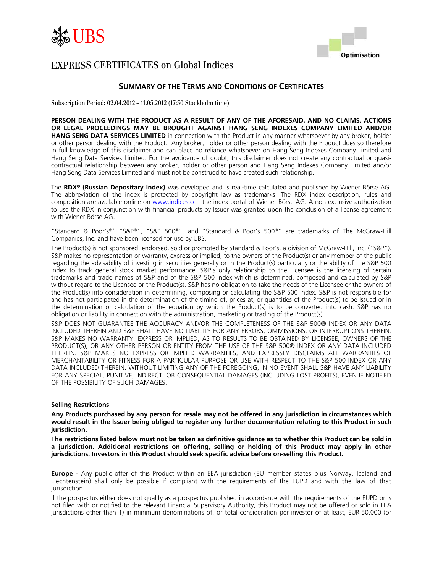



### **SUMMARY OF THE TERMS AND CONDITIONS OF CERTIFICATES**

Subscription Period: 02.04.2012 – 11.05.2012 (17:30 Stockholm time)

**PERSON DEALING WITH THE PRODUCT AS A RESULT OF ANY OF THE AFORESAID, AND NO CLAIMS, ACTIONS OR LEGAL PROCEEDINGS MAY BE BROUGHT AGAINST HANG SENG INDEXES COMPANY LIMITED AND/OR HANG SENG DATA SERVICES LIMITED** in connection with the Product in any manner whatsoever by any broker, holder or other person dealing with the Product. Any broker, holder or other person dealing with the Product does so therefore in full knowledge of this disclaimer and can place no reliance whatsoever on Hang Seng Indexes Company Limited and Hang Seng Data Services Limited. For the avoidance of doubt, this disclaimer does not create any contractual or quasicontractual relationship between any broker, holder or other person and Hang Seng Indexes Company Limited and/or Hang Seng Data Services Limited and must not be construed to have created such relationship.

The **RDX® (Russian Depositary Index)** was developed and is real-time calculated and published by Wiener Börse AG. The abbreviation of the index is protected by copyright law as trademarks. The RDX index description, rules and composition are available online on [www.indices.cc](http://www.indices.cc/) - the index portal of Wiener Börse AG. A non-exclusive authorization to use the RDX in conjunction with financial products by Issuer was granted upon the conclusion of a license agreement with Wiener Börse AG.

"Standard & Poor's®", "S&P®", "S&P 500®", and "Standard & Poor's 500®" are trademarks of The McGraw-Hill Companies, Inc. and have been licensed for use by UBS.

The Product(s) is not sponsored, endorsed, sold or promoted by Standard & Poor's, a division of McGraw-Hill, Inc. ("S&P"). S&P makes no representation or warranty, express or implied, to the owners of the Product(s) or any member of the public regarding the advisability of investing in securities generally or in the Product(s) particularly or the ability of the S&P 500 Index to track general stock market performance. S&P's only relationship to the Licensee is the licensing of certain trademarks and trade names of S&P and of the S&P 500 Index which is determined, composed and calculated by S&P without regard to the Licensee or the Product(s). S&P has no obligation to take the needs of the Licensee or the owners of the Product(s) into consideration in determining, composing or calculating the S&P 500 Index. S&P is not responsible for and has not participated in the determination of the timing of, prices at, or quantities of the Product(s) to be issued or in the determination or calculation of the equation by which the Product(s) is to be converted into cash. S&P has no obligation or liability in connection with the administration, marketing or trading of the Product(s).

S&P DOES NOT GUARANTEE THE ACCURACY AND/OR THE COMPLETENESS OF THE S&P 500® INDEX OR ANY DATA INCLUDED THEREIN AND S&P SHALL HAVE NO LIABILITY FOR ANY ERRORS, OMMISSIONS, OR INTERRUPTIONS THEREIN. S&P MAKES NO WARRANTY, EXPRESS OR IMPLIED, AS TO RESULTS TO BE OBTAINED BY LICENSEE, OWNERS OF THE PRODUCT(S), OR ANY OTHER PERSON OR ENTITY FROM THE USE OF THE S&P 500® INDEX OR ANY DATA INCLUDED THEREIN. S&P MAKES NO EXPRESS OR IMPLIED WARRANTIES, AND EXPRESSLY DISCLAIMS ALL WARRANTIES OF MERCHANTABILITY OR FITNESS FOR A PARTICULAR PURPOSE OR USE WITH RESPECT TO THE S&P 500 INDEX OR ANY DATA INCLUDED THEREIN. WITHOUT LIMITING ANY OF THE FOREGOING, IN NO EVENT SHALL S&P HAVE ANY LIABILITY FOR ANY SPECIAL, PUNITIVE, INDIRECT, OR CONSEQUENTIAL DAMAGES (INCLUDING LOST PROFITS), EVEN IF NOTIFIED OF THE POSSIBILITY OF SUCH DAMAGES.

#### **Selling Restrictions**

**Any Products purchased by any person for resale may not be offered in any jurisdiction in circumstances which would result in the Issuer being obliged to register any further documentation relating to this Product in such jurisdiction.** 

**The restrictions listed below must not be taken as definitive guidance as to whether this Product can be sold in a jurisdiction. Additional restrictions on offering, selling or holding of this Product may apply in other jurisdictions. Investors in this Product should seek specific advice before on-selling this Product.** 

**Europe** - Any public offer of this Product within an EEA jurisdiction (EU member states plus Norway, Iceland and Liechtenstein) shall only be possible if compliant with the requirements of the EUPD and with the law of that jurisdiction.

If the prospectus either does not qualify as a prospectus published in accordance with the requirements of the EUPD or is not filed with or notified to the relevant Financial Supervisory Authority, this Product may not be offered or sold in EEA jurisdictions other than 1) in minimum denominations of, or total consideration per investor of at least, EUR 50,000 (or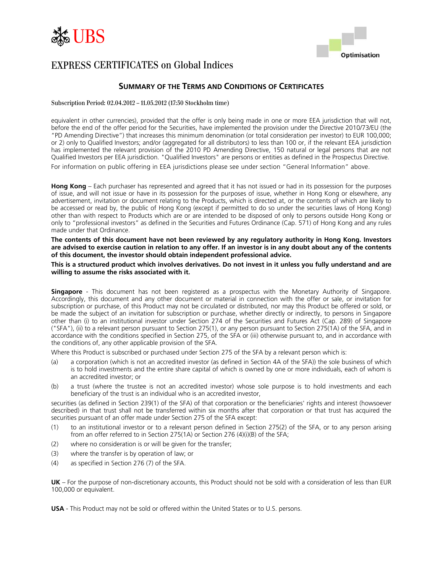



### **SUMMARY OF THE TERMS AND CONDITIONS OF CERTIFICATES**

#### Subscription Period: 02.04.2012 – 11.05.2012 (17:30 Stockholm time)

equivalent in other currencies), provided that the offer is only being made in one or more EEA jurisdiction that will not, before the end of the offer period for the Securities, have implemented the provision under the Directive 2010/73/EU (the "PD Amending Directive") that increases this minimum denomination (or total consideration per investor) to EUR 100,000; or 2) only to Qualified Investors; and/or (aggregated for all distributors) to less than 100 or, if the relevant EEA jurisdiction has implemented the relevant provision of the 2010 PD Amending Directive, 150 natural or legal persons that are not Qualified Investors per EEA jurisdiction. "Qualified Investors" are persons or entities as defined in the Prospectus Directive.

For information on public offering in EEA jurisdictions please see under section "General Information" above.

**Hong Kong** – Each purchaser has represented and agreed that it has not issued or had in its possession for the purposes of issue, and will not issue or have in its possession for the purposes of issue, whether in Hong Kong or elsewhere, any advertisement, invitation or document relating to the Products, which is directed at, or the contents of which are likely to be accessed or read by, the public of Hong Kong (except if permitted to do so under the securities laws of Hong Kong) other than with respect to Products which are or are intended to be disposed of only to persons outside Hong Kong or only to "professional investors" as defined in the Securities and Futures Ordinance (Cap. 571) of Hong Kong and any rules made under that Ordinance.

**The contents of this document have not been reviewed by any regulatory authority in Hong Kong. Investors are advised to exercise caution in relation to any offer. If an investor is in any doubt about any of the contents of this document, the investor should obtain independent professional advice.** 

**This is a structured product which involves derivatives. Do not invest in it unless you fully understand and are willing to assume the risks associated with it.** 

**Singapore** - This document has not been registered as a prospectus with the Monetary Authority of Singapore. Accordingly, this document and any other document or material in connection with the offer or sale, or invitation for subscription or purchase, of this Product may not be circulated or distributed, nor may this Product be offered or sold, or be made the subject of an invitation for subscription or purchase, whether directly or indirectly, to persons in Singapore other than (i) to an institutional investor under Section 274 of the Securities and Futures Act (Cap. 289) of Singapore ("SFA"), (ii) to a relevant person pursuant to Section 275(1), or any person pursuant to Section 275(1A) of the SFA, and in accordance with the conditions specified in Section 275, of the SFA or (iii) otherwise pursuant to, and in accordance with the conditions of, any other applicable provision of the SFA.

Where this Product is subscribed or purchased under Section 275 of the SFA by a relevant person which is:

- (a) a corporation (which is not an accredited investor (as defined in Section 4A of the SFA)) the sole business of which is to hold investments and the entire share capital of which is owned by one or more individuals, each of whom is an accredited investor; or
- (b) a trust (where the trustee is not an accredited investor) whose sole purpose is to hold investments and each beneficiary of the trust is an individual who is an accredited investor,

securities (as defined in Section 239(1) of the SFA) of that corporation or the beneficiaries' rights and interest (howsoever described) in that trust shall not be transferred within six months after that corporation or that trust has acquired the securities pursuant of an offer made under Section 275 of the SFA except:

- (1) to an institutional investor or to a relevant person defined in Section 275(2) of the SFA, or to any person arising from an offer referred to in Section 275(1A) or Section 276 (4)(i)(B) of the SFA;
- (2) where no consideration is or will be given for the transfer;
- (3) where the transfer is by operation of law; or
- (4) as specified in Section 276 (7) of the SFA.

**UK** – For the purpose of non-discretionary accounts, this Product should not be sold with a consideration of less than EUR 100,000 or equivalent.

**USA** - This Product may not be sold or offered within the United States or to U.S. persons.